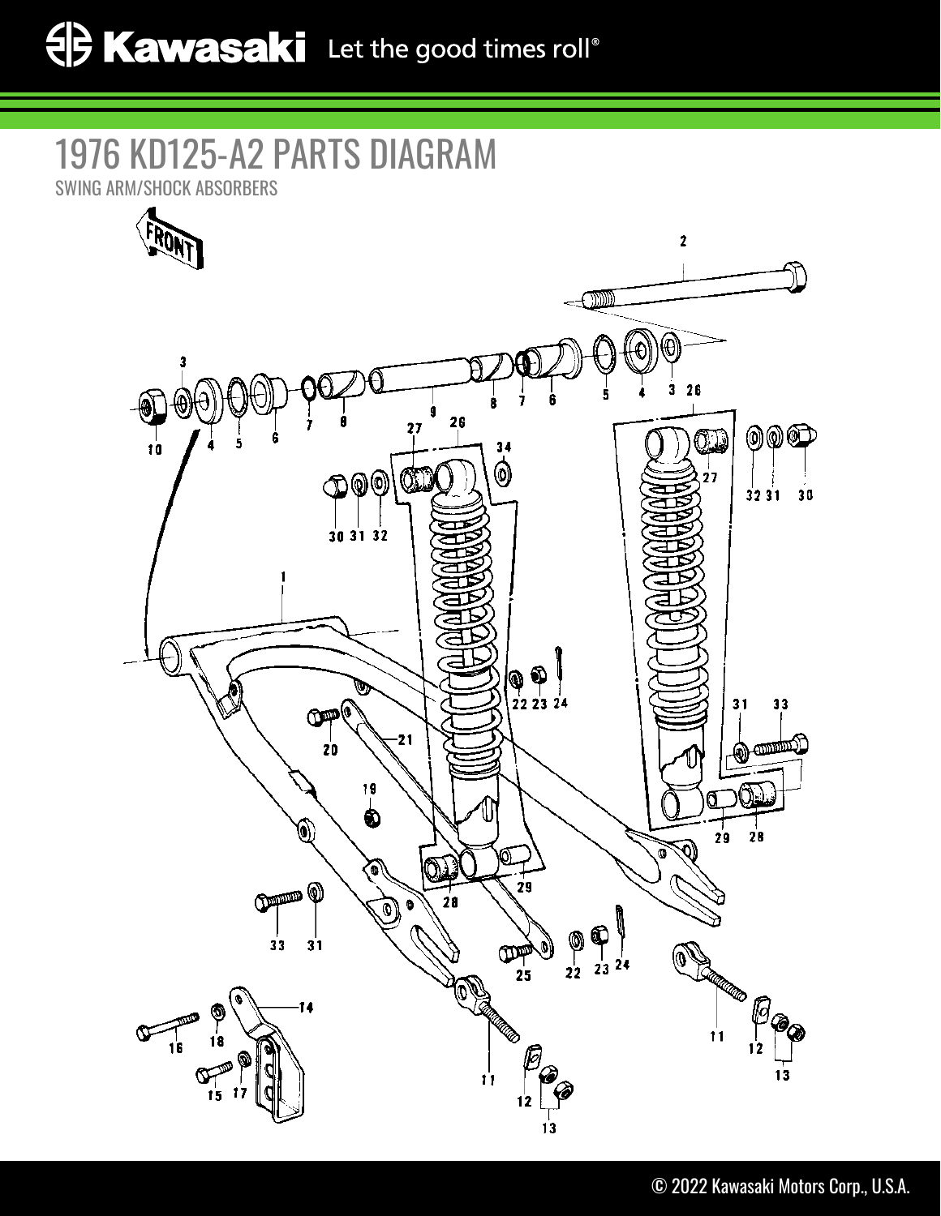## 1976 KD125-A2 PARTS DIAGRAM

SWING ARM/SHOCK ABSORBERS

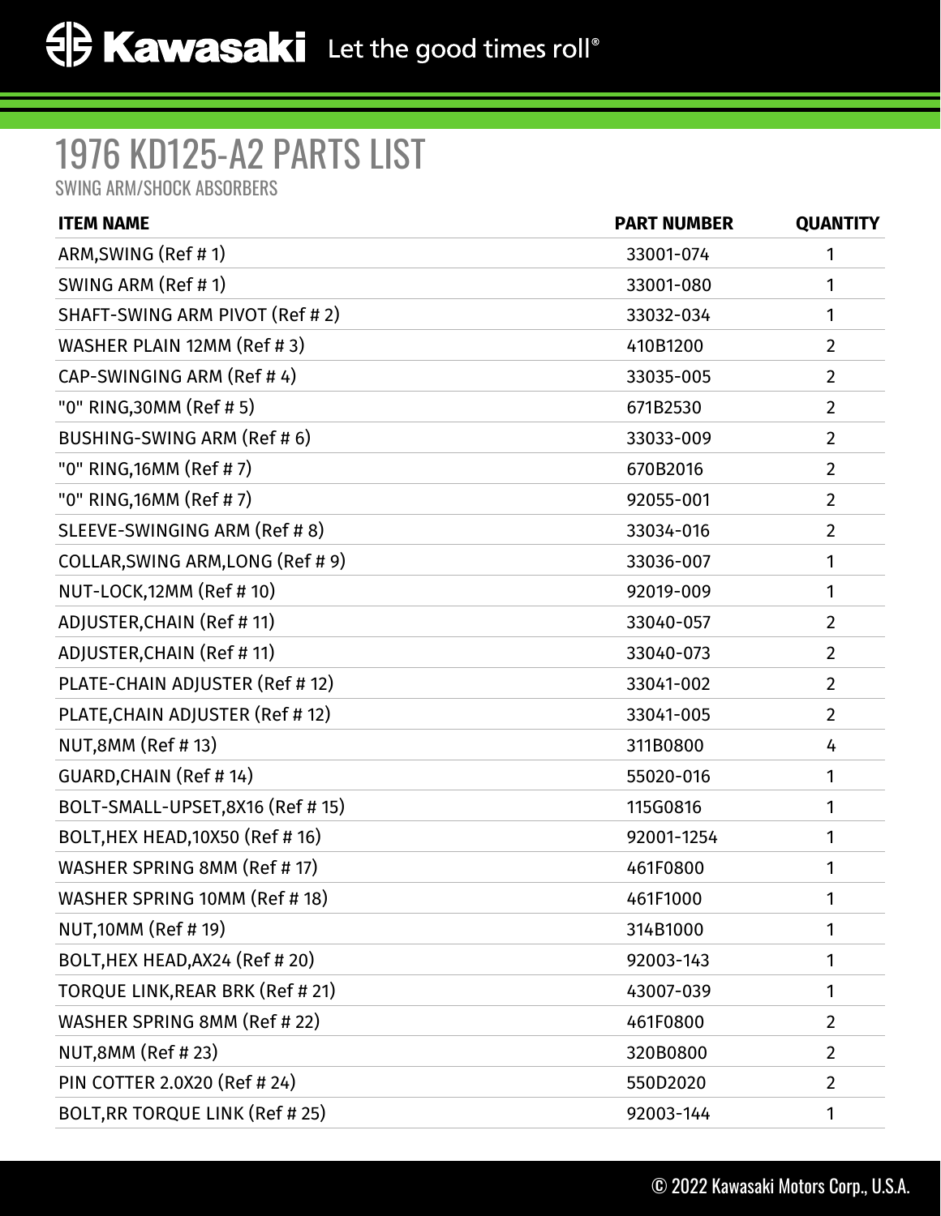## 1976 KD125-A2 PARTS LIST

SWING ARM/SHOCK ABSORBERS

| <b>ITEM NAME</b>                  | <b>PART NUMBER</b> | <b>QUANTITY</b> |
|-----------------------------------|--------------------|-----------------|
| ARM, SWING (Ref #1)               | 33001-074          | 1               |
| SWING ARM (Ref # 1)               | 33001-080          | 1               |
| SHAFT-SWING ARM PIVOT (Ref # 2)   | 33032-034          | 1               |
| WASHER PLAIN 12MM (Ref # 3)       | 410B1200           | $\overline{2}$  |
| CAP-SWINGING ARM (Ref #4)         | 33035-005          | $\overline{2}$  |
| "0" RING, 30MM (Ref # 5)          | 671B2530           | $\overline{2}$  |
| BUSHING-SWING ARM (Ref # 6)       | 33033-009          | $\overline{2}$  |
| "0" RING, 16MM (Ref # 7)          | 670B2016           | $\overline{2}$  |
| "0" RING, 16MM (Ref # 7)          | 92055-001          | $\overline{2}$  |
| SLEEVE-SWINGING ARM (Ref # 8)     | 33034-016          | $\overline{2}$  |
| COLLAR, SWING ARM, LONG (Ref # 9) | 33036-007          | 1               |
| NUT-LOCK, 12MM (Ref # 10)         | 92019-009          | 1               |
| ADJUSTER, CHAIN (Ref # 11)        | 33040-057          | $\overline{2}$  |
| ADJUSTER, CHAIN (Ref # 11)        | 33040-073          | $\overline{2}$  |
| PLATE-CHAIN ADJUSTER (Ref # 12)   | 33041-002          | $\overline{2}$  |
| PLATE, CHAIN ADJUSTER (Ref # 12)  | 33041-005          | $\overline{2}$  |
| NUT,8MM (Ref # 13)                | 311B0800           | 4               |
| <b>GUARD, CHAIN (Ref #14)</b>     | 55020-016          | 1               |
| BOLT-SMALL-UPSET,8X16 (Ref # 15)  | 115G0816           | 1               |
| BOLT, HEX HEAD, 10X50 (Ref # 16)  | 92001-1254         | 1               |
| WASHER SPRING 8MM (Ref # 17)      | 461F0800           | 1               |
| WASHER SPRING 10MM (Ref # 18)     | 461F1000           | 1               |
| <b>NUT,10MM (Ref # 19)</b>        | 314B1000           | 1               |
| BOLT, HEX HEAD, AX24 (Ref # 20)   | 92003-143          | 1               |
| TORQUE LINK, REAR BRK (Ref # 21)  | 43007-039          | 1               |
| WASHER SPRING 8MM (Ref # 22)      | 461F0800           | $\overline{2}$  |
| NUT,8MM (Ref #23)                 | 320B0800           | $\overline{2}$  |
| PIN COTTER 2.0X20 (Ref # 24)      | 550D2020           | $\overline{2}$  |
| BOLT, RR TORQUE LINK (Ref # 25)   | 92003-144          | 1               |